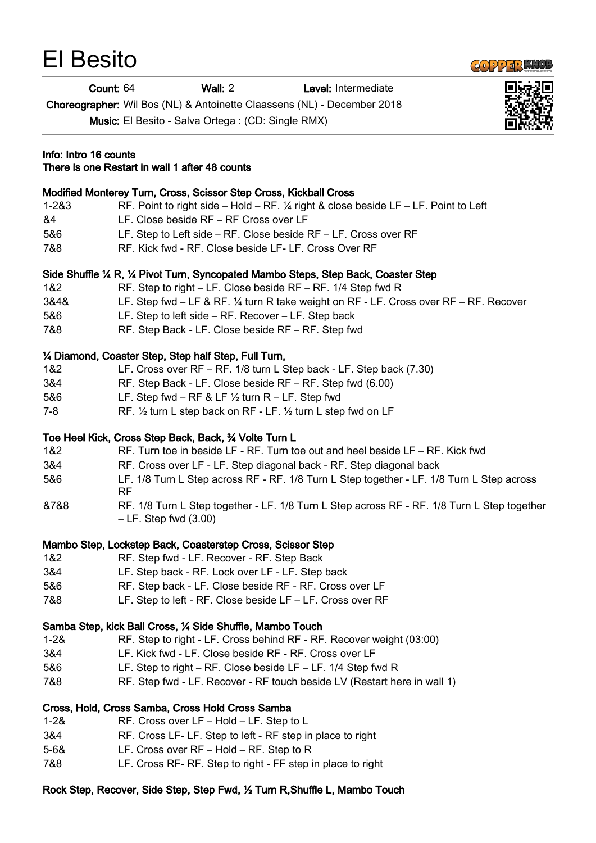

Count: 64 Wall: 2 Level: Intermediate

Choreographer: Wil Bos (NL) & Antoinette Claassens (NL) - December 2018

| <b>ONOROGRAPHOR.</b> WILDOO (TYL) & A TRONOGRO ORGOOGRO (TYL) - DOOGRIDGE LOTO<br>Music: El Besito - Salva Ortega : (CD: Single RMX) |                                                                                                                          |  |
|--------------------------------------------------------------------------------------------------------------------------------------|--------------------------------------------------------------------------------------------------------------------------|--|
|                                                                                                                                      | Info: Intro 16 counts<br>There is one Restart in wall 1 after 48 counts                                                  |  |
|                                                                                                                                      | Modified Monterey Turn, Cross, Scissor Step Cross, Kickball Cross                                                        |  |
| $1 - 283$                                                                                                                            | RF. Point to right side – Hold – RF. 1/4 right & close beside LF – LF. Point to Left                                     |  |
| &4                                                                                                                                   | LF. Close beside RF - RF Cross over LF                                                                                   |  |
| 5&6                                                                                                                                  | LF. Step to Left side – RF. Close beside RF – LF. Cross over RF                                                          |  |
| 7&8                                                                                                                                  | RF. Kick fwd - RF. Close beside LF- LF. Cross Over RF                                                                    |  |
|                                                                                                                                      | Side Shuffle 1/4 R, 1/4 Pivot Turn, Syncopated Mambo Steps, Step Back, Coaster Step                                      |  |
| 1&2                                                                                                                                  | RF. Step to right – LF. Close beside RF – RF. 1/4 Step fwd R                                                             |  |
| 3&4&                                                                                                                                 | LF. Step fwd – LF & RF. $\%$ turn R take weight on RF - LF. Cross over RF – RF. Recover                                  |  |
| 5&6                                                                                                                                  | LF. Step to left side - RF. Recover - LF. Step back                                                                      |  |
| 7&8                                                                                                                                  | RF. Step Back - LF. Close beside RF - RF. Step fwd                                                                       |  |
|                                                                                                                                      | 1/4 Diamond, Coaster Step, Step half Step, Full Turn,                                                                    |  |
| 1&2                                                                                                                                  | LF. Cross over RF - RF. 1/8 turn L Step back - LF. Step back (7.30)                                                      |  |
| 3&4                                                                                                                                  | RF. Step Back - LF. Close beside RF - RF. Step fwd (6.00)                                                                |  |
| 5&6                                                                                                                                  | LF. Step fwd – RF & LF $\frac{1}{2}$ turn R – LF. Step fwd                                                               |  |
| $7 - 8$                                                                                                                              | RF. 1/2 turn L step back on RF - LF. 1/2 turn L step fwd on LF                                                           |  |
|                                                                                                                                      | Toe Heel Kick, Cross Step Back, Back, 3⁄4 Volte Turn L                                                                   |  |
| 1&2                                                                                                                                  | RF. Turn toe in beside LF - RF. Turn toe out and heel beside LF - RF. Kick fwd                                           |  |
| 3&4                                                                                                                                  | RF. Cross over LF - LF. Step diagonal back - RF. Step diagonal back                                                      |  |
| 5&6                                                                                                                                  | LF. 1/8 Turn L Step across RF - RF. 1/8 Turn L Step together - LF. 1/8 Turn L Step across<br><b>RF</b>                   |  |
| &7&8                                                                                                                                 | RF. 1/8 Turn L Step together - LF. 1/8 Turn L Step across RF - RF. 1/8 Turn L Step together<br>$-LF$ . Step fwd $(3.00)$ |  |
|                                                                                                                                      | Mambo Step, Lockstep Back, Coasterstep Cross, Scissor Step                                                               |  |
| 1&2                                                                                                                                  | RF. Step fwd - LF. Recover - RF. Step Back                                                                               |  |
| 3&4                                                                                                                                  | LF. Step back - RF. Lock over LF - LF. Step back                                                                         |  |
| 5&6                                                                                                                                  | RF. Step back - LF. Close beside RF - RF. Cross over LF                                                                  |  |
| 7&8                                                                                                                                  | LF. Step to left - RF. Close beside LF - LF. Cross over RF                                                               |  |
|                                                                                                                                      | Samba Step, kick Ball Cross, 1/4 Side Shuffle, Mambo Touch                                                               |  |
| $1 - 28$                                                                                                                             | RF. Step to right - LF. Cross behind RF - RF. Recover weight (03:00)                                                     |  |
| 3&4                                                                                                                                  | LF. Kick fwd - LF. Close beside RF - RF. Cross over LF                                                                   |  |
| 5&6                                                                                                                                  | LF. Step to right – RF. Close beside LF – LF. $1/4$ Step fwd R                                                           |  |
| 7&8                                                                                                                                  | RF. Step fwd - LF. Recover - RF touch beside LV (Restart here in wall 1)                                                 |  |
|                                                                                                                                      | Cross, Hold, Cross Samba, Cross Hold Cross Samba                                                                         |  |
| $1 - 28$                                                                                                                             | RF. Cross over LF - Hold - LF. Step to L                                                                                 |  |
| 3&4                                                                                                                                  | RF. Cross LF-LF. Step to left - RF step in place to right                                                                |  |
| $5 - 68$                                                                                                                             | LF. Cross over $RF - Hold - RF$ . Step to R                                                                              |  |

7&8 LF. Cross RF- RF. Step to right - FF step in place to right

## Rock Step, Recover, Side Step, Step Fwd, ½ Turn R,Shuffle L, Mambo Touch